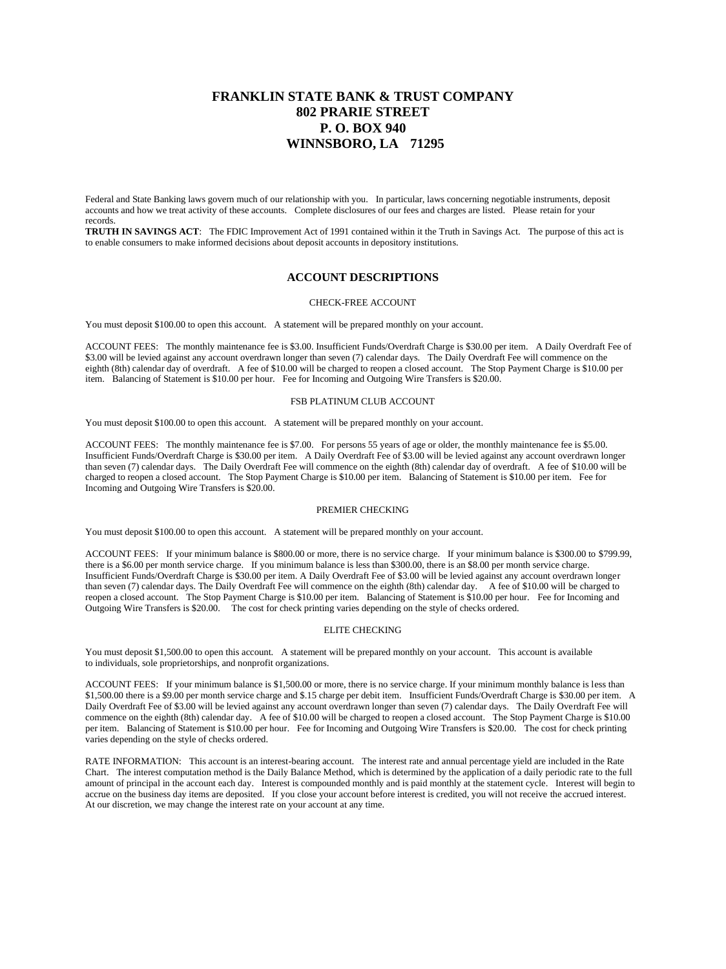# **FRANKLIN STATE BANK & TRUST COMPANY 802 PRARIE STREET P. O. BOX 940 WINNSBORO, LA 71295**

Federal and State Banking laws govern much of our relationship with you. In particular, laws concerning negotiable instruments, deposit accounts and how we treat activity of these accounts. Complete disclosures of our fees and charges are listed. Please retain for your records.

**TRUTH IN SAVINGS ACT**: The FDIC Improvement Act of 1991 contained within it the Truth in Savings Act. The purpose of this act is to enable consumers to make informed decisions about deposit accounts in depository institutions.

# **ACCOUNT DESCRIPTIONS**

#### CHECK-FREE ACCOUNT

You must deposit \$100.00 to open this account. A statement will be prepared monthly on your account.

ACCOUNT FEES: The monthly maintenance fee is \$3.00. Insufficient Funds/Overdraft Charge is \$30.00 per item. A Daily Overdraft Fee of \$3.00 will be levied against any account overdrawn longer than seven (7) calendar days. The Daily Overdraft Fee will commence on the eighth (8th) calendar day of overdraft. A fee of \$10.00 will be charged to reopen a closed account. The Stop Payment Charge is \$10.00 per item. Balancing of Statement is \$10.00 per hour. Fee for Incoming and Outgoing Wire Transfers is \$20.00.

# FSB PLATINUM CLUB ACCOUNT

You must deposit \$100.00 to open this account. A statement will be prepared monthly on your account.

ACCOUNT FEES: The monthly maintenance fee is \$7.00. For persons 55 years of age or older, the monthly maintenance fee is \$5.00. Insufficient Funds/Overdraft Charge is \$30.00 per item. A Daily Overdraft Fee of \$3.00 will be levied against any account overdrawn longer than seven (7) calendar days. The Daily Overdraft Fee will commence on the eighth (8th) calendar day of overdraft. A fee of \$10.00 will be charged to reopen a closed account. The Stop Payment Charge is \$10.00 per item. Balancing of Statement is \$10.00 per item. Fee for Incoming and Outgoing Wire Transfers is \$20.00.

### PREMIER CHECKING

You must deposit \$100.00 to open this account. A statement will be prepared monthly on your account.

ACCOUNT FEES: If your minimum balance is \$800.00 or more, there is no service charge. If your minimum balance is \$300.00 to \$799.99, there is a \$6.00 per month service charge. If you minimum balance is less than \$300.00, there is an \$8.00 per month service charge. Insufficient Funds/Overdraft Charge is \$30.00 per item. A Daily Overdraft Fee of \$3.00 will be levied against any account overdrawn longer than seven (7) calendar days. The Daily Overdraft Fee will commence on the eighth (8th) calendar day. A fee of \$10.00 will be charged to reopen a closed account. The Stop Payment Charge is \$10.00 per item. Balancing of Statement is \$10.00 per hour. Fee for Incoming and Outgoing Wire Transfers is \$20.00. The cost for check printing varies depending on the style of checks ordered.

# ELITE CHECKING

You must deposit \$1,500.00 to open this account. A statement will be prepared monthly on your account. This account is available to individuals, sole proprietorships, and nonprofit organizations.

ACCOUNT FEES: If your minimum balance is \$1,500.00 or more, there is no service charge. If your minimum monthly balance is less than \$1,500.00 there is a \$9.00 per month service charge and \$.15 charge per debit item. Insufficient Funds/Overdraft Charge is \$30.00 per item. A Daily Overdraft Fee of \$3.00 will be levied against any account overdrawn longer than seven (7) calendar days. The Daily Overdraft Fee will commence on the eighth (8th) calendar day. A fee of \$10.00 will be charged to reopen a closed account. The Stop Payment Charge is \$10.00 per item. Balancing of Statement is \$10.00 per hour. Fee for Incoming and Outgoing Wire Transfers is \$20.00. The cost for check printing varies depending on the style of checks ordered.

RATE INFORMATION: This account is an interest-bearing account. The interest rate and annual percentage yield are included in the Rate Chart. The interest computation method is the Daily Balance Method, which is determined by the application of a daily periodic rate to the full amount of principal in the account each day. Interest is compounded monthly and is paid monthly at the statement cycle. Interest will begin to accrue on the business day items are deposited. If you close your account before interest is credited, you will not receive the accrued interest. At our discretion, we may change the interest rate on your account at any time.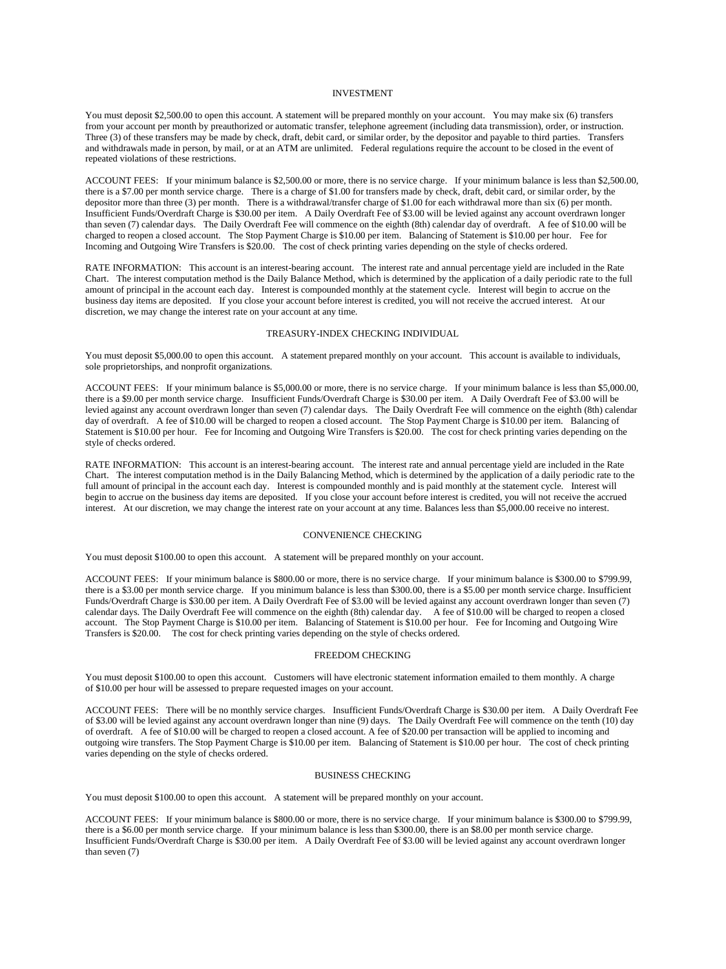# INVESTMENT

You must deposit \$2,500.00 to open this account. A statement will be prepared monthly on your account. You may make six (6) transfers from your account per month by preauthorized or automatic transfer, telephone agreement (including data transmission), order, or instruction. Three (3) of these transfers may be made by check, draft, debit card, or similar order, by the depositor and payable to third parties. Transfers and withdrawals made in person, by mail, or at an ATM are unlimited. Federal regulations require the account to be closed in the event of repeated violations of these restrictions.

ACCOUNT FEES: If your minimum balance is \$2,500.00 or more, there is no service charge. If your minimum balance is less than \$2,500.00, there is a \$7.00 per month service charge. There is a charge of \$1.00 for transfers made by check, draft, debit card, or similar order, by the depositor more than three (3) per month. There is a withdrawal/transfer charge of \$1.00 for each withdrawal more than six (6) per month. Insufficient Funds/Overdraft Charge is \$30.00 per item. A Daily Overdraft Fee of \$3.00 will be levied against any account overdrawn longer than seven (7) calendar days. The Daily Overdraft Fee will commence on the eighth (8th) calendar day of overdraft. A fee of \$10.00 will be charged to reopen a closed account. The Stop Payment Charge is \$10.00 per item. Balancing of Statement is \$10.00 per hour. Fee for Incoming and Outgoing Wire Transfers is \$20.00. The cost of check printing varies depending on the style of checks ordered.

RATE INFORMATION: This account is an interest-bearing account. The interest rate and annual percentage yield are included in the Rate Chart. The interest computation method is the Daily Balance Method, which is determined by the application of a daily periodic rate to the full amount of principal in the account each day. Interest is compounded monthly at the statement cycle. Interest will begin to accrue on the business day items are deposited. If you close your account before interest is credited, you will not receive the accrued interest. At our discretion, we may change the interest rate on your account at any time.

### TREASURY-INDEX CHECKING INDIVIDUAL

You must deposit \$5,000.00 to open this account. A statement prepared monthly on your account. This account is available to individuals, sole proprietorships, and nonprofit organizations.

ACCOUNT FEES: If your minimum balance is \$5,000.00 or more, there is no service charge. If your minimum balance is less than \$5,000.00, there is a \$9.00 per month service charge. Insufficient Funds/Overdraft Charge is \$30.00 per item. A Daily Overdraft Fee of \$3.00 will be levied against any account overdrawn longer than seven (7) calendar days. The Daily Overdraft Fee will commence on the eighth (8th) calendar day of overdraft. A fee of \$10.00 will be charged to reopen a closed account. The Stop Payment Charge is \$10.00 per item. Balancing of Statement is \$10.00 per hour. Fee for Incoming and Outgoing Wire Transfers is \$20.00. The cost for check printing varies depending on the style of checks ordered.

RATE INFORMATION: This account is an interest-bearing account. The interest rate and annual percentage yield are included in the Rate Chart. The interest computation method is in the Daily Balancing Method, which is determined by the application of a daily periodic rate to the full amount of principal in the account each day. Interest is compounded monthly and is paid monthly at the statement cycle. Interest will begin to accrue on the business day items are deposited. If you close your account before interest is credited, you will not receive the accrued interest. At our discretion, we may change the interest rate on your account at any time. Balances less than \$5,000.00 receive no interest.

#### CONVENIENCE CHECKING

You must deposit \$100.00 to open this account. A statement will be prepared monthly on your account.

ACCOUNT FEES: If your minimum balance is \$800.00 or more, there is no service charge. If your minimum balance is \$300.00 to \$799.99, there is a \$3.00 per month service charge. If you minimum balance is less than \$300.00, there is a \$5.00 per month service charge. Insufficient Funds/Overdraft Charge is \$30.00 per item. A Daily Overdraft Fee of \$3.00 will be levied against any account overdrawn longer than seven (7) calendar days. The Daily Overdraft Fee will commence on the eighth (8th) calendar day. A fee of \$10.00 will be charged to reopen a closed account. The Stop Payment Charge is \$10.00 per item. Balancing of Statement is \$10.00 per hour. Fee for Incoming and Outgoing Wire Transfers is \$20.00. The cost for check printing varies depending on the style of checks ordered.

### FREEDOM CHECKING

You must deposit \$100.00 to open this account. Customers will have electronic statement information emailed to them monthly. A charge of \$10.00 per hour will be assessed to prepare requested images on your account.

ACCOUNT FEES: There will be no monthly service charges. Insufficient Funds/Overdraft Charge is \$30.00 per item. A Daily Overdraft Fee of \$3.00 will be levied against any account overdrawn longer than nine (9) days. The Daily Overdraft Fee will commence on the tenth (10) day of overdraft. A fee of \$10.00 will be charged to reopen a closed account. A fee of \$20.00 per transaction will be applied to incoming and outgoing wire transfers. The Stop Payment Charge is \$10.00 per item. Balancing of Statement is \$10.00 per hour. The cost of check printing varies depending on the style of checks ordered.

## BUSINESS CHECKING

You must deposit \$100.00 to open this account. A statement will be prepared monthly on your account.

ACCOUNT FEES: If your minimum balance is \$800.00 or more, there is no service charge. If your minimum balance is \$300.00 to \$799.99, there is a \$6.00 per month service charge. If your minimum balance is less than \$300.00, there is an \$8.00 per month service charge. Insufficient Funds/Overdraft Charge is \$30.00 per item. A Daily Overdraft Fee of \$3.00 will be levied against any account overdrawn longer than seven (7)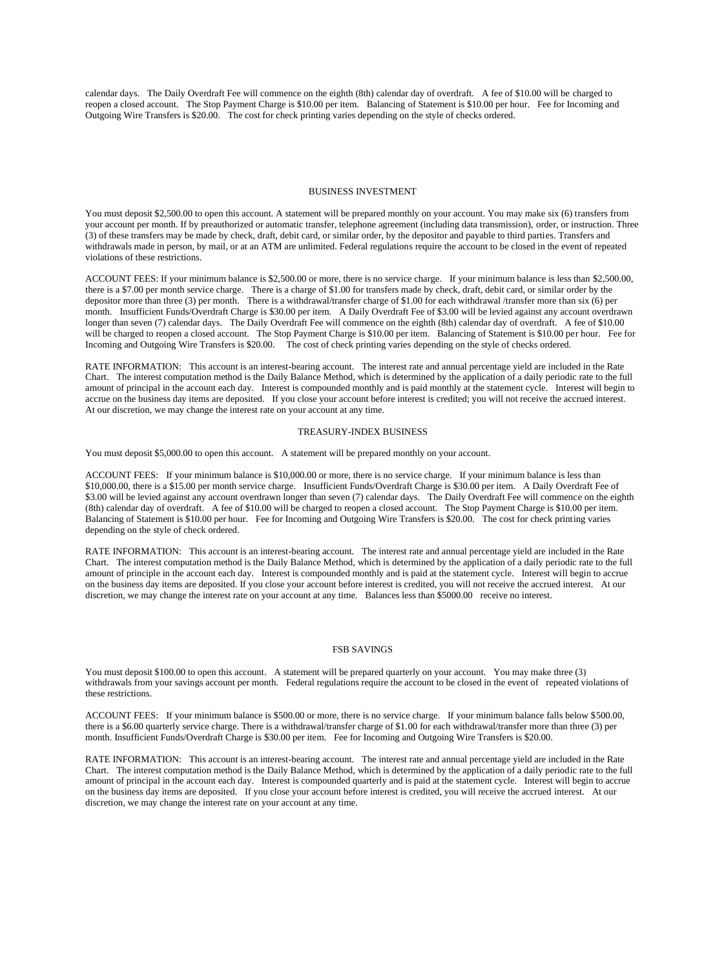calendar days. The Daily Overdraft Fee will commence on the eighth (8th) calendar day of overdraft. A fee of \$10.00 will be charged to reopen a closed account. The Stop Payment Charge is \$10.00 per item. Balancing of Statement is \$10.00 per hour. Fee for Incoming and Outgoing Wire Transfers is \$20.00. The cost for check printing varies depending on the style of checks ordered.

### BUSINESS INVESTMENT

You must deposit \$2,500.00 to open this account. A statement will be prepared monthly on your account. You may make six (6) transfers from your account per month. If by preauthorized or automatic transfer, telephone agreement (including data transmission), order, or instruction. Three (3) of these transfers may be made by check, draft, debit card, or similar order, by the depositor and payable to third parties. Transfers and withdrawals made in person, by mail, or at an ATM are unlimited. Federal regulations require the account to be closed in the event of repeated violations of these restrictions.

ACCOUNT FEES: If your minimum balance is \$2,500.00 or more, there is no service charge. If your minimum balance is less than \$2,500.00, there is a \$7.00 per month service charge. There is a charge of \$1.00 for transfers made by check, draft, debit card, or similar order by the depositor more than three (3) per month. There is a withdrawal/transfer charge of \$1.00 for each withdrawal /transfer more than six (6) per month. Insufficient Funds/Overdraft Charge is \$30.00 per item. A Daily Overdraft Fee of \$3.00 will be levied against any account overdrawn longer than seven (7) calendar days. The Daily Overdraft Fee will commence on the eighth (8th) calendar day of overdraft. A fee of \$10.00 will be charged to reopen a closed account. The Stop Payment Charge is \$10.00 per item. Balancing of Statement is \$10.00 per hour. Fee for Incoming and Outgoing Wire Transfers is \$20.00. The cost of check printing varies depending on the style of checks ordered.

RATE INFORMATION: This account is an interest-bearing account. The interest rate and annual percentage yield are included in the Rate Chart. The interest computation method is the Daily Balance Method, which is determined by the application of a daily periodic rate to the full amount of principal in the account each day. Interest is compounded monthly and is paid monthly at the statement cycle. Interest will begin to accrue on the business day items are deposited. If you close your account before interest is credited; you will not receive the accrued interest. At our discretion, we may change the interest rate on your account at any time.

# TREASURY-INDEX BUSINESS

You must deposit \$5,000.00 to open this account. A statement will be prepared monthly on your account.

ACCOUNT FEES: If your minimum balance is \$10,000.00 or more, there is no service charge. If your minimum balance is less than \$10,000.00, there is a \$15.00 per month service charge. Insufficient Funds/Overdraft Charge is \$30.00 per item. A Daily Overdraft Fee of \$3.00 will be levied against any account overdrawn longer than seven (7) calendar days. The Daily Overdraft Fee will commence on the eighth (8th) calendar day of overdraft. A fee of \$10.00 will be charged to reopen a closed account. The Stop Payment Charge is \$10.00 per item. Balancing of Statement is \$10.00 per hour. Fee for Incoming and Outgoing Wire Transfers is \$20.00. The cost for check printing varies depending on the style of check ordered.

RATE INFORMATION: This account is an interest-bearing account. The interest rate and annual percentage yield are included in the Rate Chart. The interest computation method is the Daily Balance Method, which is determined by the application of a daily periodic rate to the full amount of principle in the account each day. Interest is compounded monthly and is paid at the statement cycle. Interest will begin to accrue on the business day items are deposited. If you close your account before interest is credited, you will not receive the accrued interest. At our discretion, we may change the interest rate on your account at any time. Balances less than \$5000.00 receive no interest.

### FSB SAVINGS

You must deposit \$100.00 to open this account. A statement will be prepared quarterly on your account. You may make three (3) withdrawals from your savings account per month. Federal regulations require the account to be closed in the event of repeated violations of these restrictions.

ACCOUNT FEES: If your minimum balance is \$500.00 or more, there is no service charge. If your minimum balance falls below \$500.00, there is a \$6.00 quarterly service charge. There is a withdrawal/transfer charge of \$1.00 for each withdrawal/transfer more than three (3) per month. Insufficient Funds/Overdraft Charge is \$30.00 per item. Fee for Incoming and Outgoing Wire Transfers is \$20.00.

RATE INFORMATION: This account is an interest-bearing account. The interest rate and annual percentage yield are included in the Rate Chart. The interest computation method is the Daily Balance Method, which is determined by the application of a daily periodic rate to the full amount of principal in the account each day. Interest is compounded quarterly and is paid at the statement cycle. Interest will begin to accrue on the business day items are deposited. If you close your account before interest is credited, you will receive the accrued interest. At our discretion, we may change the interest rate on your account at any time.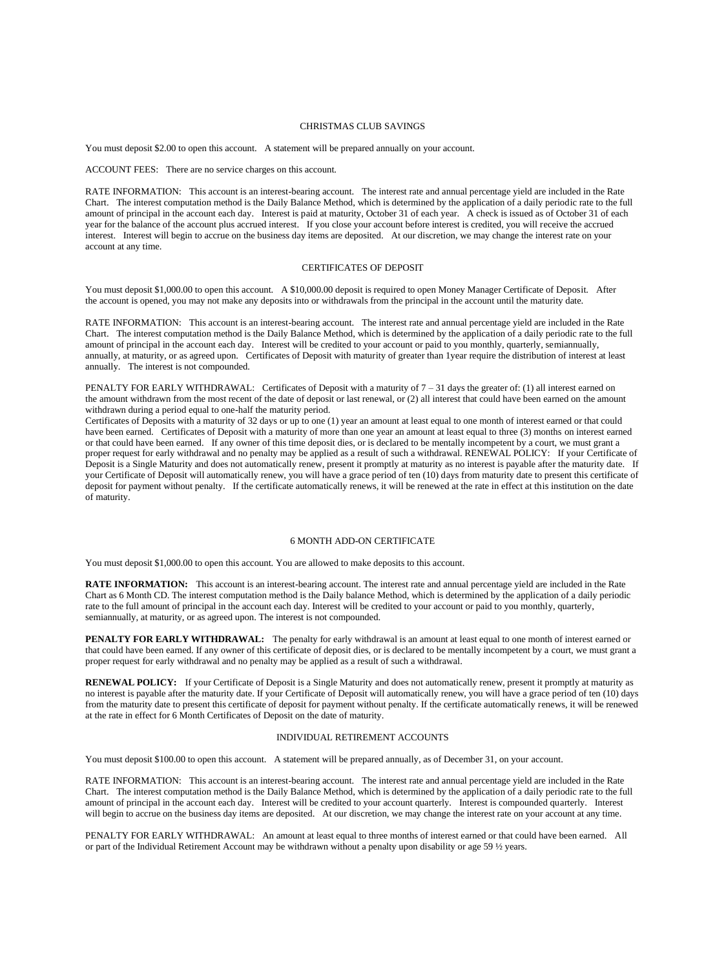### CHRISTMAS CLUB SAVINGS

You must deposit \$2.00 to open this account. A statement will be prepared annually on your account.

ACCOUNT FEES: There are no service charges on this account.

RATE INFORMATION: This account is an interest-bearing account. The interest rate and annual percentage yield are included in the Rate Chart. The interest computation method is the Daily Balance Method, which is determined by the application of a daily periodic rate to the full amount of principal in the account each day. Interest is paid at maturity, October 31 of each year. A check is issued as of October 31 of each year for the balance of the account plus accrued interest. If you close your account before interest is credited, you will receive the accrued interest. Interest will begin to accrue on the business day items are deposited. At our discretion, we may change the interest rate on your account at any time.

#### CERTIFICATES OF DEPOSIT

You must deposit \$1,000.00 to open this account. A \$10,000.00 deposit is required to open Money Manager Certificate of Deposit. After the account is opened, you may not make any deposits into or withdrawals from the principal in the account until the maturity date.

RATE INFORMATION: This account is an interest-bearing account. The interest rate and annual percentage yield are included in the Rate Chart. The interest computation method is the Daily Balance Method, which is determined by the application of a daily periodic rate to the full amount of principal in the account each day. Interest will be credited to your account or paid to you monthly, quarterly, semiannually, annually, at maturity, or as agreed upon. Certificates of Deposit with maturity of greater than 1year require the distribution of interest at least annually. The interest is not compounded.

PENALTY FOR EARLY WITHDRAWAL: Certificates of Deposit with a maturity of 7 – 31 days the greater of: (1) all interest earned on the amount withdrawn from the most recent of the date of deposit or last renewal, or (2) all interest that could have been earned on the amount withdrawn during a period equal to one-half the maturity period.

Certificates of Deposits with a maturity of 32 days or up to one (1) year an amount at least equal to one month of interest earned or that could have been earned. Certificates of Deposit with a maturity of more than one year an amount at least equal to three (3) months on interest earned or that could have been earned. If any owner of this time deposit dies, or is declared to be mentally incompetent by a court, we must grant a proper request for early withdrawal and no penalty may be applied as a result of such a withdrawal. RENEWAL POLICY: If your Certificate of Deposit is a Single Maturity and does not automatically renew, present it promptly at maturity as no interest is payable after the maturity date. If your Certificate of Deposit will automatically renew, you will have a grace period of ten (10) days from maturity date to present this certificate of deposit for payment without penalty. If the certificate automatically renews, it will be renewed at the rate in effect at this institution on the date of maturity.

### 6 MONTH ADD-ON CERTIFICATE

You must deposit \$1,000.00 to open this account. You are allowed to make deposits to this account.

**RATE INFORMATION:** This account is an interest-bearing account. The interest rate and annual percentage yield are included in the Rate Chart as 6 Month CD. The interest computation method is the Daily balance Method, which is determined by the application of a daily periodic rate to the full amount of principal in the account each day. Interest will be credited to your account or paid to you monthly, quarterly, semiannually, at maturity, or as agreed upon. The interest is not compounded.

**PENALTY FOR EARLY WITHDRAWAL:** The penalty for early withdrawal is an amount at least equal to one month of interest earned or that could have been earned. If any owner of this certificate of deposit dies, or is declared to be mentally incompetent by a court, we must grant a proper request for early withdrawal and no penalty may be applied as a result of such a withdrawal.

**RENEWAL POLICY:** If your Certificate of Deposit is a Single Maturity and does not automatically renew, present it promptly at maturity as no interest is payable after the maturity date. If your Certificate of Deposit will automatically renew, you will have a grace period of ten (10) days from the maturity date to present this certificate of deposit for payment without penalty. If the certificate automatically renews, it will be renewed at the rate in effect for 6 Month Certificates of Deposit on the date of maturity.

# INDIVIDUAL RETIREMENT ACCOUNTS

You must deposit \$100.00 to open this account. A statement will be prepared annually, as of December 31, on your account.

RATE INFORMATION: This account is an interest-bearing account. The interest rate and annual percentage yield are included in the Rate Chart. The interest computation method is the Daily Balance Method, which is determined by the application of a daily periodic rate to the full amount of principal in the account each day. Interest will be credited to your account quarterly. Interest is compounded quarterly. Interest will begin to accrue on the business day items are deposited. At our discretion, we may change the interest rate on your account at any time.

PENALTY FOR EARLY WITHDRAWAL: An amount at least equal to three months of interest earned or that could have been earned. All or part of the Individual Retirement Account may be withdrawn without a penalty upon disability or age 59 ½ years.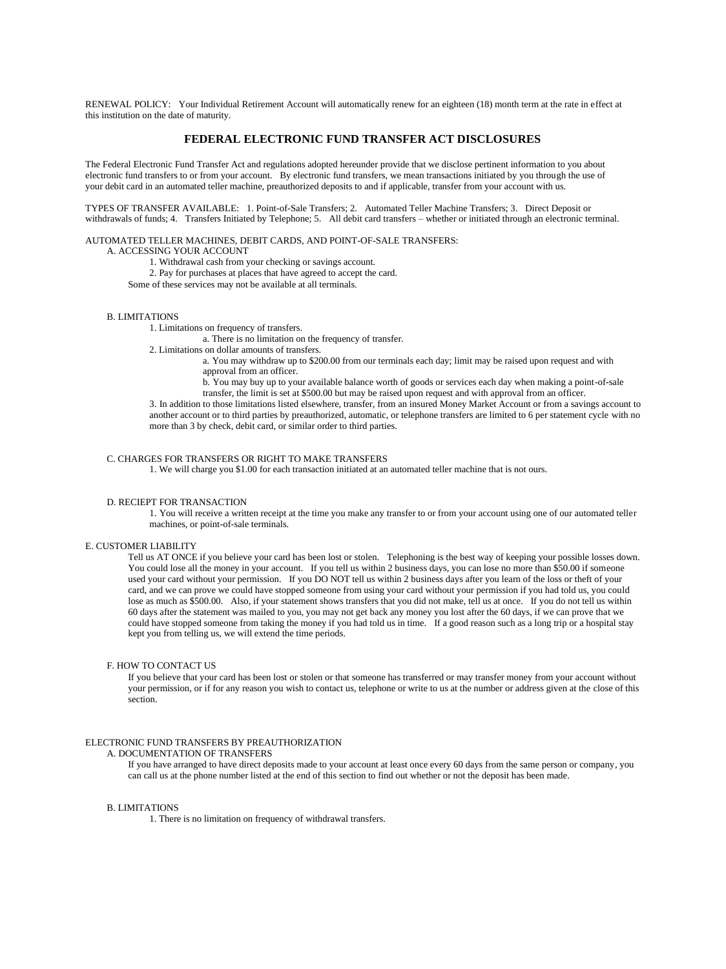RENEWAL POLICY: Your Individual Retirement Account will automatically renew for an eighteen (18) month term at the rate in effect at this institution on the date of maturity.

# **FEDERAL ELECTRONIC FUND TRANSFER ACT DISCLOSURES**

The Federal Electronic Fund Transfer Act and regulations adopted hereunder provide that we disclose pertinent information to you about electronic fund transfers to or from your account. By electronic fund transfers, we mean transactions initiated by you through the use of your debit card in an automated teller machine, preauthorized deposits to and if applicable, transfer from your account with us.

TYPES OF TRANSFER AVAILABLE: 1. Point-of-Sale Transfers; 2. Automated Teller Machine Transfers; 3. Direct Deposit or withdrawals of funds; 4. Transfers Initiated by Telephone; 5. All debit card transfers – whether or initiated through an electronic terminal.

#### AUTOMATED TELLER MACHINES, DEBIT CARDS, AND POINT-OF-SALE TRANSFERS:

A. ACCESSING YOUR ACCOUNT

1. Withdrawal cash from your checking or savings account.

- 2. Pay for purchases at places that have agreed to accept the card.
- Some of these services may not be available at all terminals.

### B. LIMITATIONS

1. Limitations on frequency of transfers.

a. There is no limitation on the frequency of transfer.

- 2. Limitations on dollar amounts of transfers.
	- a. You may withdraw up to \$200.00 from our terminals each day; limit may be raised upon request and with approval from an officer.
	- b. You may buy up to your available balance worth of goods or services each day when making a point-of-sale transfer, the limit is set at \$500.00 but may be raised upon request and with approval from an officer.

3. In addition to those limitations listed elsewhere, transfer, from an insured Money Market Account or from a savings account to another account or to third parties by preauthorized, automatic, or telephone transfers are limited to 6 per statement cycle with no more than 3 by check, debit card, or similar order to third parties.

# C. CHARGES FOR TRANSFERS OR RIGHT TO MAKE TRANSFERS

1. We will charge you \$1.00 for each transaction initiated at an automated teller machine that is not ours.

### D. RECIEPT FOR TRANSACTION

1. You will receive a written receipt at the time you make any transfer to or from your account using one of our automated teller machines, or point-of-sale terminals.

### E. CUSTOMER LIABILITY

Tell us AT ONCE if you believe your card has been lost or stolen. Telephoning is the best way of keeping your possible losses down. You could lose all the money in your account. If you tell us within 2 business days, you can lose no more than \$50.00 if someone used your card without your permission. If you DO NOT tell us within 2 business days after you learn of the loss or theft of your card, and we can prove we could have stopped someone from using your card without your permission if you had told us, you could lose as much as \$500.00. Also, if your statement shows transfers that you did not make, tell us at once. If you do not tell us within 60 days after the statement was mailed to you, you may not get back any money you lost after the 60 days, if we can prove that we could have stopped someone from taking the money if you had told us in time. If a good reason such as a long trip or a hospital stay kept you from telling us, we will extend the time periods.

# F. HOW TO CONTACT US

If you believe that your card has been lost or stolen or that someone has transferred or may transfer money from your account without your permission, or if for any reason you wish to contact us, telephone or write to us at the number or address given at the close of this section.

#### ELECTRONIC FUND TRANSFERS BY PREAUTHORIZATION

### A. DOCUMENTATION OF TRANSFERS

If you have arranged to have direct deposits made to your account at least once every 60 days from the same person or company, you can call us at the phone number listed at the end of this section to find out whether or not the deposit has been made.

# B. LIMITATIONS

1. There is no limitation on frequency of withdrawal transfers.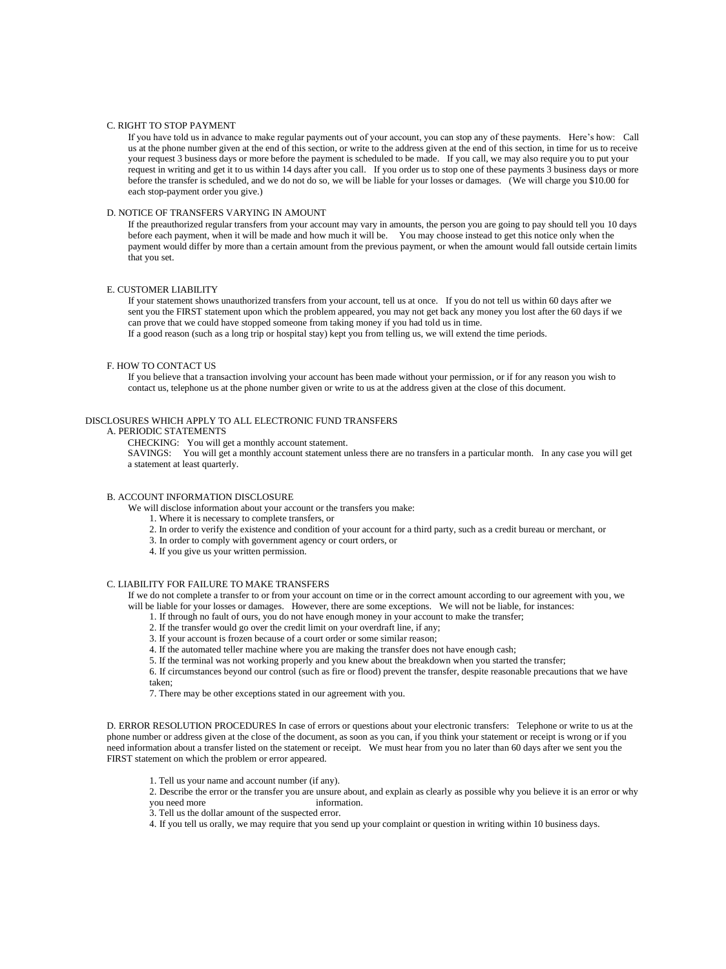### C. RIGHT TO STOP PAYMENT

If you have told us in advance to make regular payments out of your account, you can stop any of these payments. Here's how: Call us at the phone number given at the end of this section, or write to the address given at the end of this section, in time for us to receive your request 3 business days or more before the payment is scheduled to be made. If you call, we may also require you to put your request in writing and get it to us within 14 days after you call. If you order us to stop one of these payments 3 business days or more before the transfer is scheduled, and we do not do so, we will be liable for your losses or damages. (We will charge you \$10.00 for each stop-payment order you give.)

### D. NOTICE OF TRANSFERS VARYING IN AMOUNT

If the preauthorized regular transfers from your account may vary in amounts, the person you are going to pay should tell you 10 days before each payment, when it will be made and how much it will be. You may choose instead to get this notice only when the payment would differ by more than a certain amount from the previous payment, or when the amount would fall outside certain limits that you set.

# E. CUSTOMER LIABILITY

If your statement shows unauthorized transfers from your account, tell us at once. If you do not tell us within 60 days after we sent you the FIRST statement upon which the problem appeared, you may not get back any money you lost after the 60 days if we can prove that we could have stopped someone from taking money if you had told us in time.

If a good reason (such as a long trip or hospital stay) kept you from telling us, we will extend the time periods.

### F. HOW TO CONTACT US

If you believe that a transaction involving your account has been made without your permission, or if for any reason you wish to contact us, telephone us at the phone number given or write to us at the address given at the close of this document.

# DISCLOSURES WHICH APPLY TO ALL ELECTRONIC FUND TRANSFERS

#### A. PERIODIC STATEMENTS

CHECKING: You will get a monthly account statement.

SAVINGS: You will get a monthly account statement unless there are no transfers in a particular month. In any case you will get a statement at least quarterly.

#### B. ACCOUNT INFORMATION DISCLOSURE

We will disclose information about your account or the transfers you make:

- 1. Where it is necessary to complete transfers, or
- 2. In order to verify the existence and condition of your account for a third party, such as a credit bureau or merchant, or
- 3. In order to comply with government agency or court orders, or
- 4. If you give us your written permission.

### C. LIABILITY FOR FAILURE TO MAKE TRANSFERS

If we do not complete a transfer to or from your account on time or in the correct amount according to our agreement with you, we will be liable for your losses or damages. However, there are some exceptions. We will not be liable, for instances:

1. If through no fault of ours, you do not have enough money in your account to make the transfer;

2. If the transfer would go over the credit limit on your overdraft line, if any;

3. If your account is frozen because of a court order or some similar reason;

4. If the automated teller machine where you are making the transfer does not have enough cash;

5. If the terminal was not working properly and you knew about the breakdown when you started the transfer;

6. If circumstances beyond our control (such as fire or flood) prevent the transfer, despite reasonable precautions that we have taken;

7. There may be other exceptions stated in our agreement with you.

D. ERROR RESOLUTION PROCEDURES In case of errors or questions about your electronic transfers: Telephone or write to us at the phone number or address given at the close of the document, as soon as you can, if you think your statement or receipt is wrong or if you need information about a transfer listed on the statement or receipt. We must hear from you no later than 60 days after we sent you the FIRST statement on which the problem or error appeared.

1. Tell us your name and account number (if any).

2. Describe the error or the transfer you are unsure about, and explain as clearly as possible why you believe it is an error or why you need more information.

- 3. Tell us the dollar amount of the suspected error.
- 4. If you tell us orally, we may require that you send up your complaint or question in writing within 10 business days.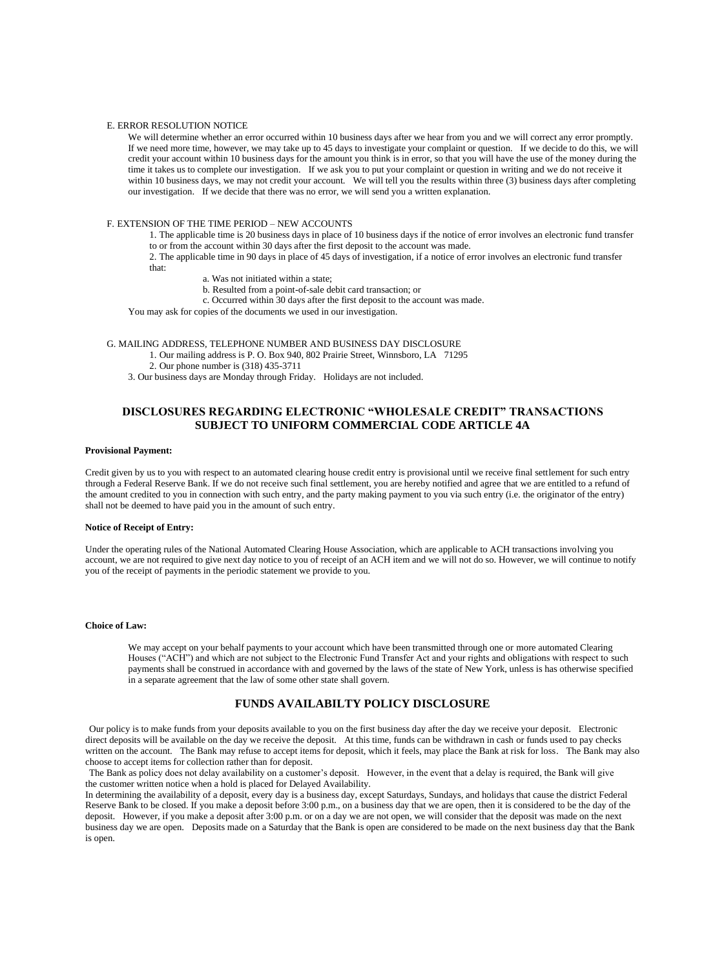#### E. ERROR RESOLUTION NOTICE

We will determine whether an error occurred within 10 business days after we hear from you and we will correct any error promptly. If we need more time, however, we may take up to 45 days to investigate your complaint or question. If we decide to do this, we will credit your account within 10 business days for the amount you think is in error, so that you will have the use of the money during the time it takes us to complete our investigation. If we ask you to put your complaint or question in writing and we do not receive it within 10 business days, we may not credit your account. We will tell you the results within three (3) business days after completing our investigation. If we decide that there was no error, we will send you a written explanation.

# F. EXTENSION OF THE TIME PERIOD – NEW ACCOUNTS

1. The applicable time is 20 business days in place of 10 business days if the notice of error involves an electronic fund transfer to or from the account within 30 days after the first deposit to the account was made.

2. The applicable time in 90 days in place of 45 days of investigation, if a notice of error involves an electronic fund transfer that:

- a. Was not initiated within a state;
- b. Resulted from a point-of-sale debit card transaction; or
- c. Occurred within 30 days after the first deposit to the account was made.

You may ask for copies of the documents we used in our investigation.

- G. MAILING ADDRESS, TELEPHONE NUMBER AND BUSINESS DAY DISCLOSURE 1. Our mailing address is P. O. Box 940, 802 Prairie Street, Winnsboro, LA 71295 2. Our phone number is (318) 435-3711
	- 3. Our business days are Monday through Friday. Holidays are not included.

# **DISCLOSURES REGARDING ELECTRONIC "WHOLESALE CREDIT" TRANSACTIONS SUBJECT TO UNIFORM COMMERCIAL CODE ARTICLE 4A**

#### **Provisional Payment:**

Credit given by us to you with respect to an automated clearing house credit entry is provisional until we receive final settlement for such entry through a Federal Reserve Bank. If we do not receive such final settlement, you are hereby notified and agree that we are entitled to a refund of the amount credited to you in connection with such entry, and the party making payment to you via such entry (i.e. the originator of the entry) shall not be deemed to have paid you in the amount of such entry.

# **Notice of Receipt of Entry:**

Under the operating rules of the National Automated Clearing House Association, which are applicable to ACH transactions involving you account, we are not required to give next day notice to you of receipt of an ACH item and we will not do so. However, we will continue to notify you of the receipt of payments in the periodic statement we provide to you.

### **Choice of Law:**

We may accept on your behalf payments to your account which have been transmitted through one or more automated Clearing Houses ("ACH") and which are not subject to the Electronic Fund Transfer Act and your rights and obligations with respect to such payments shall be construed in accordance with and governed by the laws of the state of New York, unless is has otherwise specified in a separate agreement that the law of some other state shall govern.

# **FUNDS AVAILABILTY POLICY DISCLOSURE**

Our policy is to make funds from your deposits available to you on the first business day after the day we receive your deposit. Electronic direct deposits will be available on the day we receive the deposit. At this time, funds can be withdrawn in cash or funds used to pay checks written on the account. The Bank may refuse to accept items for deposit, which it feels, may place the Bank at risk for loss. The Bank may also choose to accept items for collection rather than for deposit.

The Bank as policy does not delay availability on a customer's deposit. However, in the event that a delay is required, the Bank will give the customer written notice when a hold is placed for Delayed Availability.

In determining the availability of a deposit, every day is a business day, except Saturdays, Sundays, and holidays that cause the district Federal Reserve Bank to be closed. If you make a deposit before 3:00 p.m., on a business day that we are open, then it is considered to be the day of the deposit. However, if you make a deposit after 3:00 p.m. or on a day we are not open, we will consider that the deposit was made on the next business day we are open. Deposits made on a Saturday that the Bank is open are considered to be made on the next business day that the Bank is open.